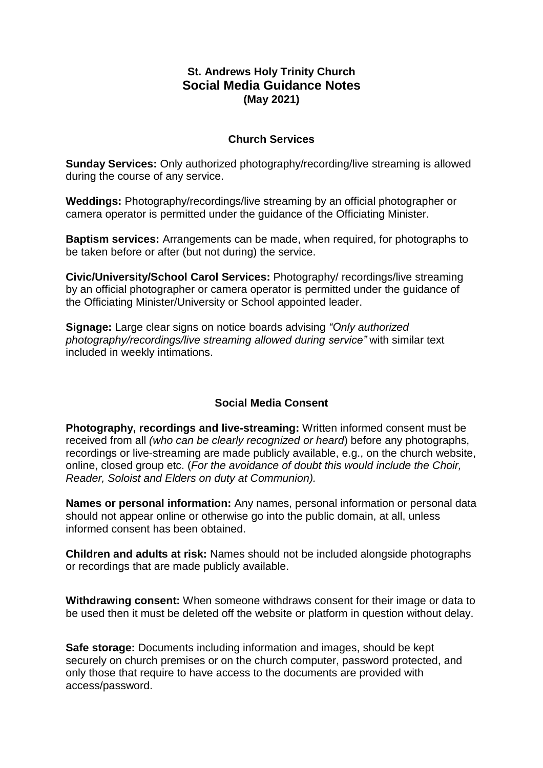## **St. Andrews Holy Trinity Church Social Media Guidance Notes (May 2021)**

## **Church Services**

**Sunday Services:** Only authorized photography/recording/live streaming is allowed during the course of any service.

**Weddings:** Photography/recordings/live streaming by an official photographer or camera operator is permitted under the guidance of the Officiating Minister.

**Baptism services:** Arrangements can be made, when required, for photographs to be taken before or after (but not during) the service.

**Civic/University/School Carol Services:** Photography/ recordings/live streaming by an official photographer or camera operator is permitted under the guidance of the Officiating Minister/University or School appointed leader.

**Signage:** Large clear signs on notice boards advising *"Only authorized photography/recordings/live streaming allowed during service"* with similar text included in weekly intimations.

## **Social Media Consent**

**Photography, recordings and live-streaming:** Written informed consent must be received from all *(who can be clearly recognized or heard*) before any photographs, recordings or live-streaming are made publicly available, e.g., on the church website, online, closed group etc. (*For the avoidance of doubt this would include the Choir, Reader, Soloist and Elders on duty at Communion).*

**Names or personal information:** Any names, personal information or personal data should not appear online or otherwise go into the public domain, at all, unless informed consent has been obtained.

**Children and adults at risk:** Names should not be included alongside photographs or recordings that are made publicly available.

**Withdrawing consent:** When someone withdraws consent for their image or data to be used then it must be deleted off the website or platform in question without delay.

**Safe storage:** Documents including information and images, should be kept securely on church premises or on the church computer, password protected, and only those that require to have access to the documents are provided with access/password.